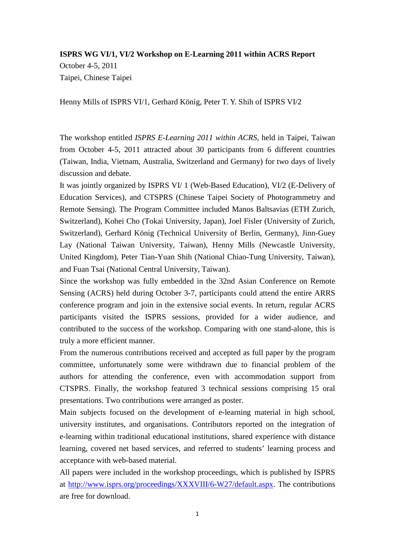## **ISPRS WG VI/1, VI/2 Workshop on E-Learning 2011 within ACRS Report** October 4-5, 2011 Taipei, Chinese Taipei

Henny Mills of ISPRS VI/1, Gerhard König, Peter T. Y. Shih of ISPRS VI/2

The workshop entitled *ISPRS E-Learning 2011 within ACRS*, held in Taipei, Taiwan from October 4-5, 2011 attracted about 30 participants from 6 different countries (Taiwan, India, Vietnam, Australia, Switzerland and Germany) for two days of lively discussion and debate.

It was jointly organized by ISPRS VI/ 1 (Web-Based Education), VI/2 (E-Delivery of Education Services), and CTSPRS (Chinese Taipei Society of Photogrammetry and Remote Sensing). The Program Committee included Manos Baltsavias (ETH Zurich, Switzerland), Kohei Cho (Tokai University, Japan), Joel Fisler (University of Zurich, Switzerland), Gerhard König (Technical University of Berlin, Germany), Jinn-Guey Lay (National Taiwan University, Taiwan), Henny Mills (Newcastle University, United Kingdom), Peter Tian-Yuan Shih (National Chiao-Tung University, Taiwan), and Fuan Tsai (National Central University, Taiwan).

Since the workshop was fully embedded in the 32nd Asian Conference on Remote Sensing (ACRS) held during October 3-7, participants could attend the entire ARRS conference program and join in the extensive social events. In return, regular ACRS participants visited the ISPRS sessions, provided for a wider audience, and contributed to the success of the workshop. Comparing with one stand-alone, this is truly a more efficient manner.

From the numerous contributions received and accepted as full paper by the program committee, unfortunately some were withdrawn due to financial problem of the authors for attending the conference, even with accommodation support from CTSPRS. Finally, the workshop featured 3 technical sessions comprising 15 oral presentations. Two contributions were arranged as poster.

Main subjects focused on the development of e-learning material in high school, university institutes, and organisations. Contributors reported on the integration of e-learning within traditional educational institutions, shared experience with distance learning, covered net based services, and referred to students' learning process and acceptance with web-based material.

All papers were included in the workshop proceedings, which is published by ISPRS at [http://www.isprs.org/proceedings/XXXVIII/6-W27/default.aspx.](http://www.isprs.org/proceedings/XXXVIII/6-W27/default.aspx) The contributions are free for download.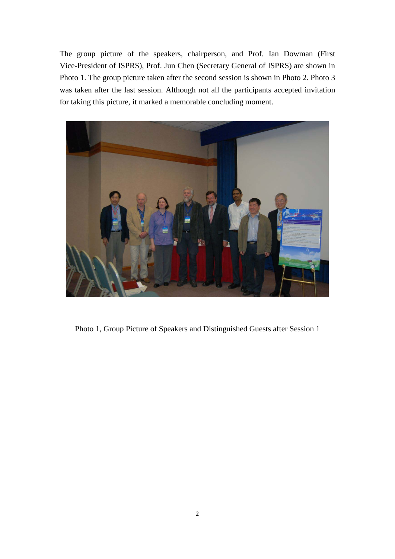The group picture of the speakers, chairperson, and Prof. Ian Dowman (First Vice-President of ISPRS), Prof. Jun Chen (Secretary General of ISPRS) are shown in Photo 1. The group picture taken after the second session is shown in Photo 2. Photo 3 was taken after the last session. Although not all the participants accepted invitation for taking this picture, it marked a memorable concluding moment.



Photo 1, Group Picture of Speakers and Distinguished Guests after Session 1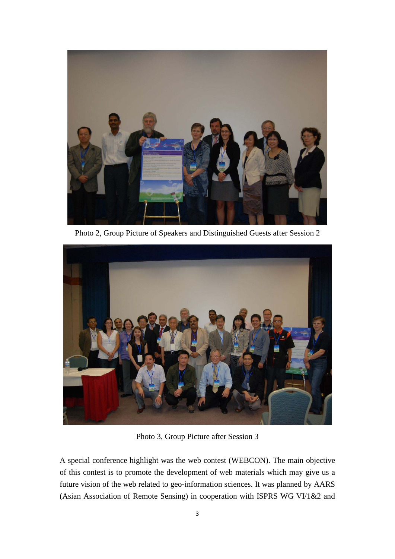

Photo 2, Group Picture of Speakers and Distinguished Guests after Session 2



Photo 3, Group Picture after Session 3

A special conference highlight was the web contest (WEBCON). The main objective of this contest is to promote the development of web materials which may give us a future vision of the web related to geo-information sciences. It was planned by AARS (Asian Association of Remote Sensing) in cooperation with ISPRS WG VI/1&2 and